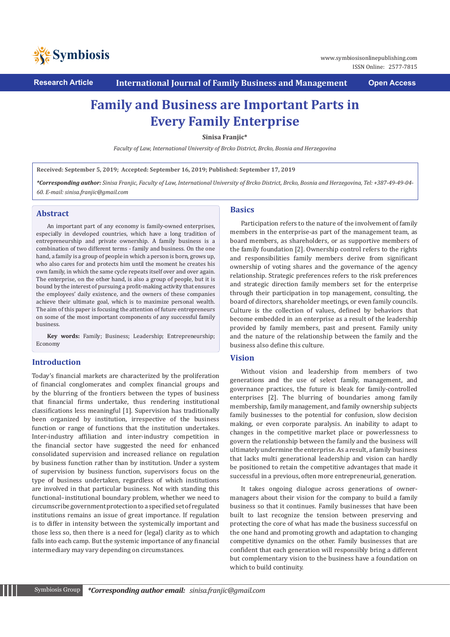

**Research Article International Journal of Family Business and Management Open Access**

# **Family and Business are Important Parts in Every Family Enterprise**

**Sinisa Franjic\***

*Faculty of Law, International University of Brcko District, Brcko, Bosnia and Herzegovina*

**Received: September 5, 2019; Accepted: September 16, 2019; Published: September 17, 2019**

*\*Corresponding author: Sinisa Franjic, Faculty of Law, International University of Brcko District, Brcko, Bosnia and Herzegovina, Tel: +387-49-49-04- 60. E-mail: sinisa.franjic@gmail.com*

# **Abstract**

An important part of any economy is family-owned enterprises, especially in developed countries, which have a long tradition of entrepreneurship and private ownership. A family business is a combination of two different terms - family and business. On the one hand, a family is a group of people in which a person is born, grows up, who also cares for and protects him until the moment he creates his own family, in which the same cycle repeats itself over and over again. The enterprise, on the other hand, is also a group of people, but it is bound by the interest of pursuing a profit-making activity that ensures the employees' daily existence, and the owners of these companies achieve their ultimate goal, which is to maximize personal wealth. The aim of this paper is focusing the attention of future entrepreneurs on some of the most important components of any successful family business.

**Key words:** Family; Business; Leadership; Entrepreneurship; Economy

# **Introduction**

Today's financial markets are characterized by the proliferation of financial conglomerates and complex financial groups and by the blurring of the frontiers between the types of business that financial firms undertake, thus rendering institutional classifications less meaningful [1]. Supervision has traditionally been organized by institution, irrespective of the business function or range of functions that the institution undertakes. Inter-industry affiliation and inter-industry competition in the financial sector have suggested the need for enhanced consolidated supervision and increased reliance on regulation by business function rather than by institution. Under a system of supervision by business function, supervisors focus on the type of business undertaken, regardless of which institutions are involved in that particular business. Not with standing this functional–institutional boundary problem, whether we need to circumscribe government protection to a specified set of regulated institutions remains an issue of great importance. If regulation is to differ in intensity between the systemically important and those less so, then there is a need for (legal) clarity as to which falls into each camp. But the systemic importance of any financial intermediary may vary depending on circumstances.

# **Basics**

Participation refers to the nature of the involvement of family members in the enterprise-as part of the management team, as board members, as shareholders, or as supportive members of the family foundation [2]. Ownership control refers to the rights and responsibilities family members derive from significant ownership of voting shares and the governance of the agency relationship. Strategic preferences refers to the risk preferences and strategic direction family members set for the enterprise through their participation in top management, consulting, the board of directors, shareholder meetings, or even family councils. Culture is the collection of values, defined by behaviors that become embedded in an enterprise as a result of the leadership provided by family members, past and present. Family unity and the nature of the relationship between the family and the business also define this culture.

# **Vision**

Without vision and leadership from members of two generations and the use of select family, management, and governance practices, the future is bleak for family-controlled enterprises [2]. The blurring of boundaries among family membership, family management, and family ownership subjects family businesses to the potential for confusion, slow decision making, or even corporate paralysis. An inability to adapt to changes in the competitive market place or powerlessness to govern the relationship between the family and the business will ultimately undermine the enterprise. As a result, a family business that lacks multi generational leadership and vision can hardly be positioned to retain the competitive advantages that made it successful in a previous, often more entrepreneurial, generation.

It takes ongoing dialogue across generations of ownermanagers about their vision for the company to build a family business so that it continues. Family businesses that have been built to last recognize the tension between preserving and protecting the core of what has made the business successful on the one hand and promoting growth and adaptation to changing competitive dynamics on the other. Family businesses that are confident that each generation will responsibly bring a different but complementary vision to the business have a foundation on which to build continuity.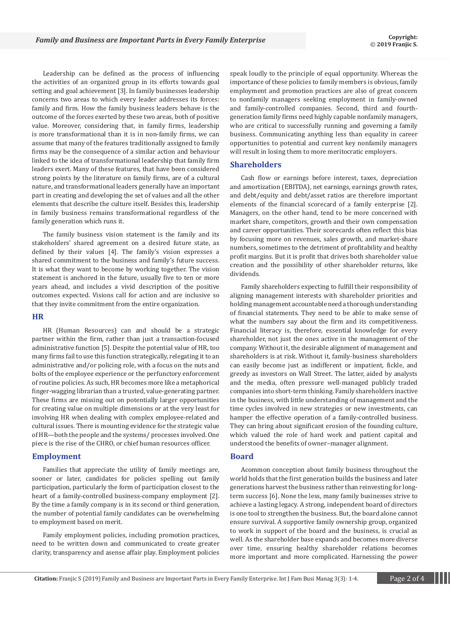Leadership can be defined as the process of influencing the activities of an organized group in its efforts towards goal setting and goal achievement [3]. In family businesses leadership concerns two areas to which every leader addresses its forces: family and firm. How the family business leaders behave is the outcome of the forces exerted by these two areas, both of positive value. Moreover, considering that, in family firms, leadership is more transformational than it is in non-family firms, we can assume that many of the features traditionally assigned to family firms may be the consequence of a similar action and behaviour linked to the idea of transformational leadership that family firm leaders exert. Many of these features, that have been considered strong points by the literature on family firms, are of a cultural nature, and transformational leaders generally have an important part in creating and developing the set of values and all the other elements that describe the culture itself. Besides this, leadership in family business remains transformational regardless of the family generation which runs it.

The family business vision statement is the family and its stakeholders' shared agreement on a desired future state, as defined by their values [4]. The family's vision expresses a shared commitment to the business and family's future success. It is what they want to become by working together. The vision statement is anchored in the future, usually five to ten or more years ahead, and includes a vivid description of the positive outcomes expected. Visions call for action and are inclusive so that they invite commitment from the entire organization.

#### **HR**

HR (Human Resources) can and should be a strategic partner within the firm, rather than just a transaction-focused administrative function [5]. Despite the potential value of HR, too many firms fail to use this function strategically, relegating it to an administrative and/or policing role, with a focus on the nuts and bolts of the employee experience or the perfunctory enforcement of routine policies. As such, HR becomes more like a metaphorical finger-wagging librarian than a trusted, value-generating partner. These firms are missing out on potentially larger opportunities for creating value on multiple dimensions or at the very least for involving HR when dealing with complex employee-related and cultural issues. There is mounting evidence for the strategic value of HR—both the people and the systems/ processes involved. One piece is the rise of the CHRO, or chief human resources officer.

## **Employment**

Families that appreciate the utility of family meetings are, sooner or later, candidates for policies spelling out family participation, particularly the form of participation closest to the heart of a family-controlled business-company employment [2]. By the time a family company is in its second or third generation, the number of potential family candidates can be overwhelming to employment based on merit.

Family employment policies, including promotion practices, need to be written down and communicated to create greater clarity, transparency and asense affair play. Employment policies

speak loudly to the principle of equal opportunity. Whereas the importance of these policies to family members is obvious, family employment and promotion practices are also of great concern to nonfamily managers seeking employment in family-owned and family-controlled companies. Second, third and fourthgeneration family firms need highly capable nonfamily managers, who are critical to successfully running and governing a family business. Communicating anything less than equality in career opportunities to potential and current key nonfamily managers will result in losing them to more meritocratic employers.

#### **Shareholders**

Cash flow or earnings before interest, taxes, depreciation and amortization (EBITDA), net earnings, earnings growth rates, and debt/equity and debt/asset ratios are therefore important elements of the financial scorecard of a family enterprise [2]. Managers, on the other hand, tend to be more concerned with market share, competitors, growth and their own compensation and career opportunities. Their scorecards often reflect this bias by focusing more on revenues, sales growth, and market-share numbers, sometimes to the detriment of profitability and healthy profit margins. But it is profit that drives both shareholder value creation and the possibility of other shareholder returns, like dividends.

Family shareholders expecting to fulfill their responsibility of aligning management interests with shareholder priorities and holding management accountable need a thorough understanding of financial statements. They need to be able to make sense of what the numbers say about the firm and its competitiveness. Financial literacy is, therefore, essential knowledge for every shareholder, not just the ones active in the management of the company. Without it, the desirable alignment of management and shareholders is at risk. Without it, family-business shareholders can easily become just as indifferent or impatient, fickle, and greedy as investors on Wall Street. The latter, aided by analysts and the media, often pressure well-managed publicly traded companies into short-term thinking. Family shareholders inactive in the business, with little understanding of management and the time cycles involved in new strategies or new investments, can hamper the effective operation of a family-controlled business. They can bring about significant erosion of the founding culture, which valued the role of hard work and patient capital and understood the benefits of owner–manager alignment.

#### **Board**

Acommon conception about family business throughout the world holds that the first generation builds the business and later generations harvest the business rather than reinvesting for longterm success [6]. None the less, many family businesses strive to achieve a lasting legacy. A strong, independent board of directors is one tool to strengthen the business. But, the board alone cannot ensure survival. A supportive family ownership group, organized to work in support of the board and the business, is crucial as well. As the shareholder base expands and becomes more diverse over time, ensuring healthy shareholder relations becomes more important and more complicated. Harnessing the power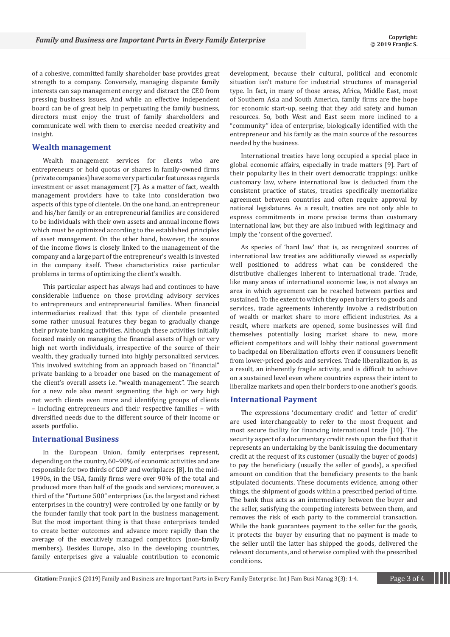of a cohesive, committed family shareholder base provides great strength to a company. Conversely, managing disparate family interests can sap management energy and distract the CEO from pressing business issues. And while an effective independent board can be of great help in perpetuating the family business, directors must enjoy the trust of family shareholders and communicate well with them to exercise needed creativity and insight.

# **Wealth management**

Wealth management services for clients who are entrepreneurs or hold quotas or shares in family-owned firms (private companies) have some very particular features as regards investment or asset management [7]. As a matter of fact, wealth management providers have to take into consideration two aspects of this type of clientele. On the one hand, an entrepreneur and his/her family or an entrepreneurial families are considered to be individuals with their own assets and annual income flows which must be optimized according to the established principles of asset management. On the other hand, however, the source of the income flows is closely linked to the management of the company and a large part of the entrepreneur's wealth is invested in the company itself. These characteristics raise particular problems in terms of optimizing the client's wealth.

This particular aspect has always had and continues to have considerable influence on those providing advisory services to entrepreneurs and entrepreneurial families. When financial intermediaries realized that this type of clientele presented some rather unusual features they began to gradually change their private banking activities. Although these activities initially focused mainly on managing the financial assets of high or very high net worth individuals, irrespective of the source of their wealth, they gradually turned into highly personalized services. This involved switching from an approach based on "financial" private banking to a broader one based on the management of the client's overall assets i.e. "wealth management". The search for a new role also meant segmenting the high or very high net worth clients even more and identifying groups of clients – including entrepreneurs and their respective families – with diversified needs due to the different source of their income or assets portfolio.

### **International Business**

In the European Union, family enterprises represent, depending on the country, 60–90% of economic activities and are responsible for two thirds of GDP and workplaces [8]. In the mid-1990s, in the USA, family firms were over 90% of the total and produced more than half of the goods and services; moreover, a third of the "Fortune 500" enterprises (i.e. the largest and richest enterprises in the country) were controlled by one family or by the founder family that took part in the business management. But the most important thing is that these enterprises tended to create better outcomes and advance more rapidly than the average of the executively managed competitors (non-family members). Besides Europe, also in the developing countries, family enterprises give a valuable contribution to economic development, because their cultural, political and economic situation isn't mature for industrial structures of managerial type. In fact, in many of those areas, Africa, Middle East, most of Southern Asia and South America, family firms are the hope for economic start-up, seeing that they add safety and human resources. So, both West and East seem more inclined to a "community" idea of enterprise, biologically identified with the entrepreneur and his family as the main source of the resources needed by the business.

International treaties have long occupied a special place in global economic affairs, especially in trade matters [9]. Part of their popularity lies in their overt democratic trappings: unlike customary law, where international law is deducted from the consistent practice of states, treaties specifically memorialize agreement between countries and often require approval by national legislatures. As a result, treaties are not only able to express commitments in more precise terms than customary international law, but they are also imbued with legitimacy and imply the 'consent of the governed'.

As species of 'hard law' that is, as recognized sources of international law treaties are additionally viewed as especially well positioned to address what can be considered the distributive challenges inherent to international trade. Trade, like many areas of international economic law, is not always an area in which agreement can be reached between parties and sustained. To the extent to which they open barriers to goods and services, trade agreements inherently involve a redistribution of wealth or market share to more efficient industries. As a result, where markets are opened, some businesses will find themselves potentially losing market share to new, more efficient competitors and will lobby their national government to backpedal on liberalization efforts even if consumers benefit from lower-priced goods and services. Trade liberalization is, as a result, an inherently fragile activity, and is difficult to achieve on a sustained level even where countries express their intent to liberalize markets and open their borders to one another's goods.

#### **International Payment**

The expressions 'documentary credit' and 'letter of credit' are used interchangeably to refer to the most frequent and most secure facility for financing international trade [10]. The security aspect of a documentary credit rests upon the fact that it represents an undertaking by the bank issuing the documentary credit at the request of its customer (usually the buyer of goods) to pay the beneficiary (usually the seller of goods), a specified amount on condition that the beneficiary presents to the bank stipulated documents. These documents evidence, among other things, the shipment of goods within a prescribed period of time. The bank thus acts as an intermediary between the buyer and the seller, satisfying the competing interests between them, and removes the risk of each party to the commercial transaction. While the bank guarantees payment to the seller for the goods, it protects the buyer by ensuring that no payment is made to the seller until the latter has shipped the goods, delivered the relevant documents, and otherwise complied with the prescribed conditions.